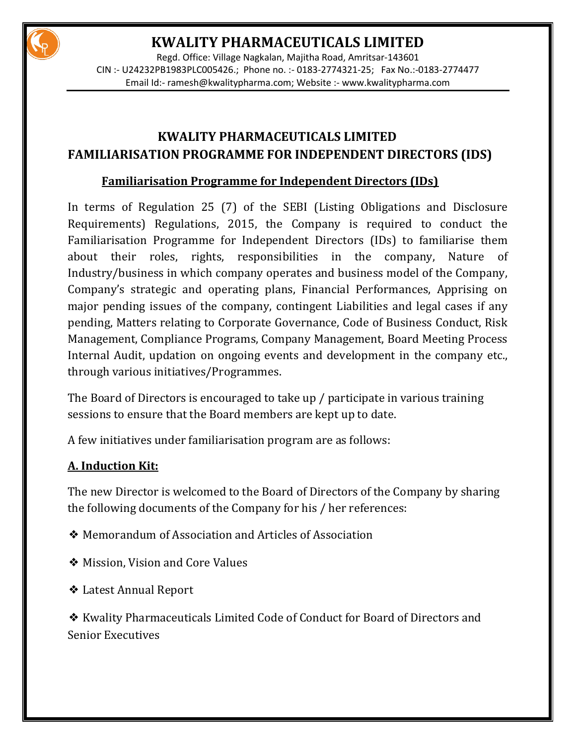

Regd. Office: Village Nagkalan, Majitha Road, Amritsar-143601 CIN :- U24232PB1983PLC005426.; Phone no. :- 0183-2774321-25; Fax No.:-0183-2774477 Email Id:- [ramesh@kwalitypharma.com;](mailto:ramesh@kwalitypharma.com) Website :- [www.kwalitypharma.com](http://www.kwalitypharma.com/)

### **KWALITY PHARMACEUTICALS LIMITED FAMILIARISATION PROGRAMME FOR INDEPENDENT DIRECTORS (IDS)**

#### **Familiarisation Programme for Independent Directors (IDs)**

In terms of Regulation 25 (7) of the SEBI (Listing Obligations and Disclosure Requirements) Regulations, 2015, the Company is required to conduct the Familiarisation Programme for Independent Directors (IDs) to familiarise them about their roles, rights, responsibilities in the company, Nature of Industry/business in which company operates and business model of the Company, Company's strategic and operating plans, Financial Performances, Apprising on major pending issues of the company, contingent Liabilities and legal cases if any pending, Matters relating to Corporate Governance, Code of Business Conduct, Risk Management, Compliance Programs, Company Management, Board Meeting Process Internal Audit, updation on ongoing events and development in the company etc., through various initiatives/Programmes.

The Board of Directors is encouraged to take up / participate in various training sessions to ensure that the Board members are kept up to date.

A few initiatives under familiarisation program are as follows:

#### **A. Induction Kit:**

The new Director is welcomed to the Board of Directors of the Company by sharing the following documents of the Company for his / her references:

- ❖ Memorandum of Association and Articles of Association
- ❖ Mission, Vision and Core Values
- ❖ Latest Annual Report

❖ Kwality Pharmaceuticals Limited Code of Conduct for Board of Directors and Senior Executives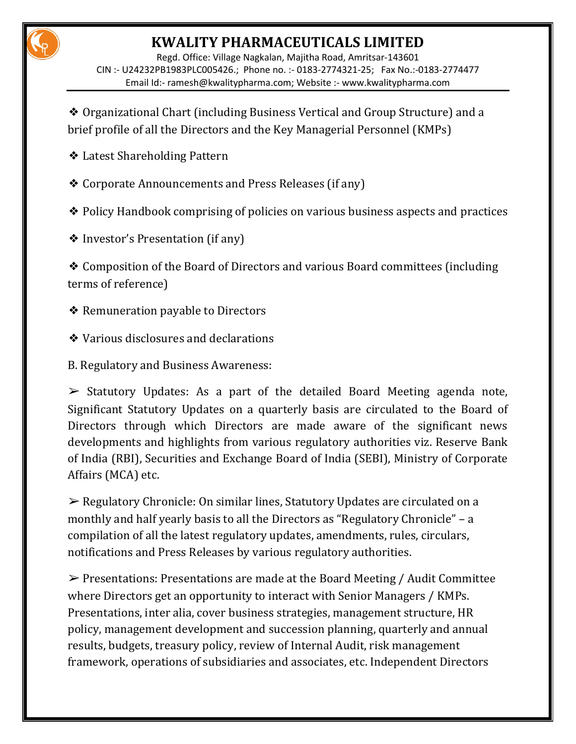Regd. Office: Village Nagkalan, Majitha Road, Amritsar-143601 CIN :- U24232PB1983PLC005426.; Phone no. :- 0183-2774321-25; Fax No.:-0183-2774477 Email Id:- [ramesh@kwalitypharma.com;](mailto:ramesh@kwalitypharma.com) Website :- [www.kwalitypharma.com](http://www.kwalitypharma.com/)

❖ Organizational Chart (including Business Vertical and Group Structure) and a brief profile of all the Directors and the Key Managerial Personnel (KMPs)

❖ Latest Shareholding Pattern

❖ Corporate Announcements and Press Releases (if any)

❖ Policy Handbook comprising of policies on various business aspects and practices

❖ Investor's Presentation (if any)

❖ Composition of the Board of Directors and various Board committees (including terms of reference)

- ❖ Remuneration payable to Directors
- ❖ Various disclosures and declarations
- B. Regulatory and Business Awareness:

 $\triangleright$  Statutory Updates: As a part of the detailed Board Meeting agenda note, Significant Statutory Updates on a quarterly basis are circulated to the Board of Directors through which Directors are made aware of the significant news developments and highlights from various regulatory authorities viz. Reserve Bank of India (RBI), Securities and Exchange Board of India (SEBI), Ministry of Corporate Affairs (MCA) etc.

➢ Regulatory Chronicle: On similar lines, Statutory Updates are circulated on a monthly and half yearly basis to all the Directors as "Regulatory Chronicle" – a compilation of all the latest regulatory updates, amendments, rules, circulars, notifications and Press Releases by various regulatory authorities.

➢ Presentations: Presentations are made at the Board Meeting / Audit Committee where Directors get an opportunity to interact with Senior Managers / KMPs. Presentations, inter alia, cover business strategies, management structure, HR policy, management development and succession planning, quarterly and annual results, budgets, treasury policy, review of Internal Audit, risk management framework, operations of subsidiaries and associates, etc. Independent Directors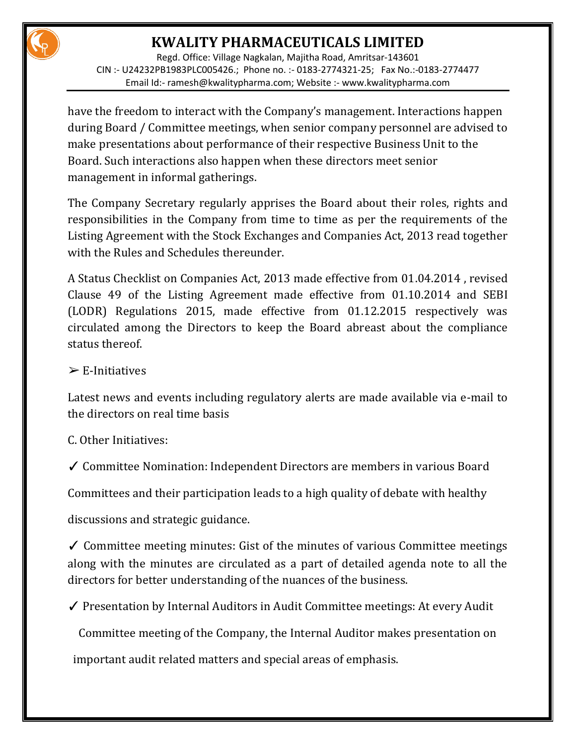Regd. Office: Village Nagkalan, Majitha Road, Amritsar-143601 CIN :- U24232PB1983PLC005426.; Phone no. :- 0183-2774321-25; Fax No.:-0183-2774477 Email Id:- [ramesh@kwalitypharma.com;](mailto:ramesh@kwalitypharma.com) Website :- [www.kwalitypharma.com](http://www.kwalitypharma.com/)

have the freedom to interact with the Company's management. Interactions happen during Board / Committee meetings, when senior company personnel are advised to make presentations about performance of their respective Business Unit to the Board. Such interactions also happen when these directors meet senior management in informal gatherings.

The Company Secretary regularly apprises the Board about their roles, rights and responsibilities in the Company from time to time as per the requirements of the Listing Agreement with the Stock Exchanges and Companies Act, 2013 read together with the Rules and Schedules thereunder.

A Status Checklist on Companies Act, 2013 made effective from 01.04.2014 , revised Clause 49 of the Listing Agreement made effective from 01.10.2014 and SEBI (LODR) Regulations 2015, made effective from 01.12.2015 respectively was circulated among the Directors to keep the Board abreast about the compliance status thereof.

#### $\triangleright$  E-Initiatives

Latest news and events including regulatory alerts are made available via e-mail to the directors on real time basis

C. Other Initiatives:

✓ Committee Nomination: Independent Directors are members in various Board

Committees and their participation leads to a high quality of debate with healthy

discussions and strategic guidance.

✓ Committee meeting minutes: Gist of the minutes of various Committee meetings along with the minutes are circulated as a part of detailed agenda note to all the directors for better understanding of the nuances of the business.

✓ Presentation by Internal Auditors in Audit Committee meetings: At every Audit

Committee meeting of the Company, the Internal Auditor makes presentation on

important audit related matters and special areas of emphasis.